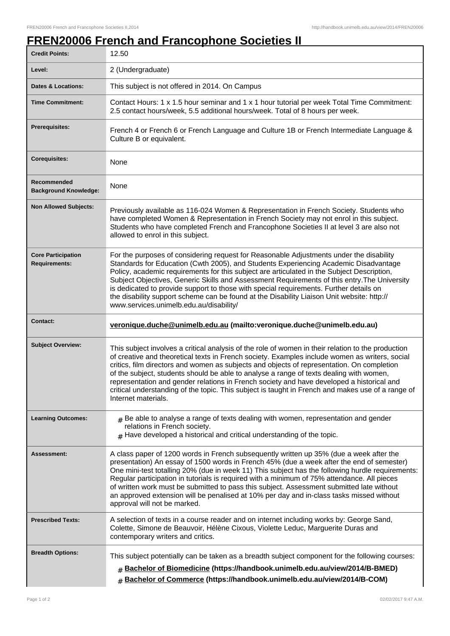## **FREN20006 French and Francophone Societies II**

| <b>Credit Points:</b>                             | 12.50                                                                                                                                                                                                                                                                                                                                                                                                                                                                                                                                                                                                                  |
|---------------------------------------------------|------------------------------------------------------------------------------------------------------------------------------------------------------------------------------------------------------------------------------------------------------------------------------------------------------------------------------------------------------------------------------------------------------------------------------------------------------------------------------------------------------------------------------------------------------------------------------------------------------------------------|
| Level:                                            | 2 (Undergraduate)                                                                                                                                                                                                                                                                                                                                                                                                                                                                                                                                                                                                      |
| <b>Dates &amp; Locations:</b>                     | This subject is not offered in 2014. On Campus                                                                                                                                                                                                                                                                                                                                                                                                                                                                                                                                                                         |
| <b>Time Commitment:</b>                           | Contact Hours: 1 x 1.5 hour seminar and 1 x 1 hour tutorial per week Total Time Commitment:<br>2.5 contact hours/week, 5.5 additional hours/week. Total of 8 hours per week.                                                                                                                                                                                                                                                                                                                                                                                                                                           |
| Prerequisites:                                    | French 4 or French 6 or French Language and Culture 1B or French Intermediate Language &<br>Culture B or equivalent.                                                                                                                                                                                                                                                                                                                                                                                                                                                                                                   |
| <b>Corequisites:</b>                              | None                                                                                                                                                                                                                                                                                                                                                                                                                                                                                                                                                                                                                   |
| Recommended<br><b>Background Knowledge:</b>       | None                                                                                                                                                                                                                                                                                                                                                                                                                                                                                                                                                                                                                   |
| <b>Non Allowed Subjects:</b>                      | Previously available as 116-024 Women & Representation in French Society. Students who<br>have completed Women & Representation in French Society may not enrol in this subject.<br>Students who have completed French and Francophone Societies II at level 3 are also not<br>allowed to enrol in this subject.                                                                                                                                                                                                                                                                                                       |
| <b>Core Participation</b><br><b>Requirements:</b> | For the purposes of considering request for Reasonable Adjustments under the disability<br>Standards for Education (Cwth 2005), and Students Experiencing Academic Disadvantage<br>Policy, academic requirements for this subject are articulated in the Subject Description,<br>Subject Objectives, Generic Skills and Assessment Requirements of this entry. The University<br>is dedicated to provide support to those with special requirements. Further details on<br>the disability support scheme can be found at the Disability Liaison Unit website: http://<br>www.services.unimelb.edu.au/disability/       |
| <b>Contact:</b>                                   | veronique.duche@unimelb.edu.au (mailto:veronique.duche@unimelb.edu.au)                                                                                                                                                                                                                                                                                                                                                                                                                                                                                                                                                 |
| <b>Subject Overview:</b>                          | This subject involves a critical analysis of the role of women in their relation to the production<br>of creative and theoretical texts in French society. Examples include women as writers, social<br>critics, film directors and women as subjects and objects of representation. On completion<br>of the subject, students should be able to analyse a range of texts dealing with women,<br>representation and gender relations in French society and have developed a historical and<br>critical understanding of the topic. This subject is taught in French and makes use of a range of<br>Internet materials. |
| <b>Learning Outcomes:</b>                         | $#$ Be able to analyse a range of texts dealing with women, representation and gender<br>relations in French society.<br>$#$ Have developed a historical and critical understanding of the topic.                                                                                                                                                                                                                                                                                                                                                                                                                      |
| Assessment:                                       | A class paper of 1200 words in French subsequently written up 35% (due a week after the<br>presentation) An essay of 1500 words in French 45% (due a week after the end of semester)<br>One mini-test totalling 20% (due in week 11) This subject has the following hurdle requirements:<br>Regular participation in tutorials is required with a minimum of 75% attendance. All pieces<br>of written work must be submitted to pass this subject. Assessment submitted late without<br>an approved extension will be penalised at 10% per day and in-class tasks missed without<br>approval will not be marked.       |
| <b>Prescribed Texts:</b>                          | A selection of texts in a course reader and on internet including works by: George Sand,<br>Colette, Simone de Beauvoir, Hélène Cixous, Violette Leduc, Marguerite Duras and<br>contemporary writers and critics.                                                                                                                                                                                                                                                                                                                                                                                                      |
| <b>Breadth Options:</b>                           | This subject potentially can be taken as a breadth subject component for the following courses:<br>Bachelor of Biomedicine (https://handbook.unimelb.edu.au/view/2014/B-BMED)<br>#<br>Bachelor of Commerce (https://handbook.unimelb.edu.au/view/2014/B-COM)<br>#                                                                                                                                                                                                                                                                                                                                                      |